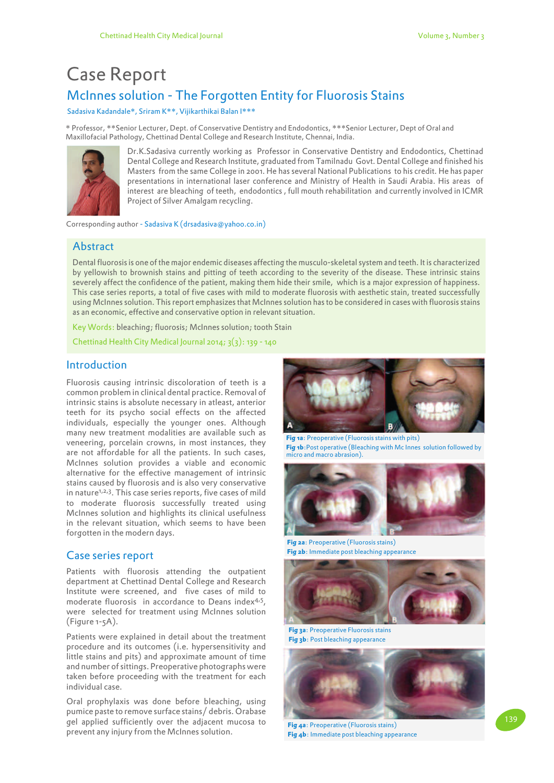# McInnes solution - The Forgotten Entity for Fluorosis Stains Case Report

Sadasiva Kadandale\*, Sriram K\*\*, Vijikarthikai Balan I\*\*\*

\* Professor, \*\*Senior Lecturer, Dept. of Conservative Dentistry and Endodontics, \*\*\*Senior Lecturer, Dept of Oral and Maxillofacial Pathology, Chettinad Dental College and Research Institute, Chennai, India.



Dr.K.Sadasiva currently working as Professor in Conservative Dentistry and Endodontics, Chettinad Dental College and Research Institute, graduated from Tamilnadu Govt. Dental College and finished his Masters from the same College in 2001. He has several National Publications to his credit. He has paper presentations in international laser conference and Ministry of Health in Saudi Arabia. His areas of interest are bleaching of teeth, endodontics , full mouth rehabilitation and currently involved in ICMR Project of Silver Amalgam recycling.

Corresponding author - Sadasiva K (drsadasiva@yahoo.co.in)

## **Abstract**

Dental fluorosis is one of the major endemic diseases affecting the musculo-skeletal system and teeth. It is characterized by yellowish to brownish stains and pitting of teeth according to the severity of the disease. These intrinsic stains severely affect the confidence of the patient, making them hide their smile, which is a major expression of happiness. This case series reports, a total of five cases with mild to moderate fluorosis with aesthetic stain, treated successfully using McInnes solution. This report emphasizes that McInnes solution has to be considered in cases with fluorosis stains as an economic, effective and conservative option in relevant situation.

Key Words: bleaching; fluorosis; McInnes solution; tooth Stain

Chettinad Health City Medical Journal 2014; 3(3): 139 - 140

## Introduction

Fluorosis causing intrinsic discoloration of teeth is a common problem in clinical dental practice. Removal of intrinsic stains is absolute necessary in atleast, anterior teeth for its psycho social effects on the affected individuals, especially the younger ones. Although many new treatment modalities are available such as veneering, porcelain crowns, in most instances, they are not affordable for all the patients. In such cases, McInnes solution provides a viable and economic alternative for the effective management of intrinsic stains caused by fluorosis and is also very conservative in nature<sup>1,2,3</sup>. This case series reports, five cases of mild to moderate fluorosis successfully treated using McInnes solution and highlights its clinical usefulness in the relevant situation, which seems to have been forgotten in the modern days.

### Case series report

Patients with fluorosis attending the outpatient department at Chettinad Dental College and Research Institute were screened, and five cases of mild to moderate fluorosis in accordance to Deans index<sup>4,5</sup>, were selected for treatment using McInnes solution (Figure 1-5A).

Patients were explained in detail about the treatment procedure and its outcomes (i.e. hypersensitivity and little stains and pits) and approximate amount of time and number of sittings. Preoperative photographs were taken before proceeding with the treatment for each individual case.

Oral prophylaxis was done before bleaching, using pumice paste to remove surface stains/ debris. Orabase gel applied sufficiently over the adjacent mucosa to prevent any injury from the McInnes solution.



**Fig 1a**: Preoperative (Fluorosis stains with pits) **Fig 1b**:Post operative (Bleaching with Mc Innes solution followed by micro and macro abrasion).



**Fig 2a**: Preoperative (Fluorosis stains) **Fig 2b**: Immediate post bleaching appearance



**Fig 3a**: Preoperative Fluorosis stains **Fig 3b**: Post bleaching appearance



**Fig 4a**: Preoperative (Fluorosis stains) **Fig 4b**: Immediate post bleaching appearance